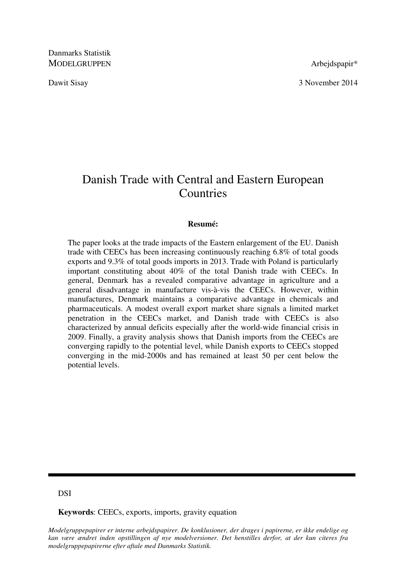Danmarks Statistik MODELGRUPPEN Arbeidspapir\*

Dawit Sisay 3 November 2014

# Danish Trade with Central and Eastern European **Countries**

#### **Resumé:**

The paper looks at the trade impacts of the Eastern enlargement of the EU. Danish trade with CEECs has been increasing continuously reaching 6.8% of total goods exports and 9.3% of total goods imports in 2013. Trade with Poland is particularly important constituting about 40% of the total Danish trade with CEECs. In general, Denmark has a revealed comparative advantage in agriculture and a general disadvantage in manufacture vis-à-vis the CEECs. However, within manufactures, Denmark maintains a comparative advantage in chemicals and pharmaceuticals. A modest overall export market share signals a limited market penetration in the CEECs market, and Danish trade with CEECs is also characterized by annual deficits especially after the world-wide financial crisis in 2009. Finally, a gravity analysis shows that Danish imports from the CEECs are converging rapidly to the potential level, while Danish exports to CEECs stopped converging in the mid-2000s and has remained at least 50 per cent below the potential levels.

DSI

**Keywords**: CEECs, exports, imports, gravity equation

*Modelgruppepapirer er interne arbejdspapirer. De konklusioner, der drages i papirerne, er ikke endelige og kan være ændret inden opstillingen af nye modelversioner. Det henstilles derfor, at der kun citeres fra modelgruppepapirerne efter aftale med Danmarks Statistik.*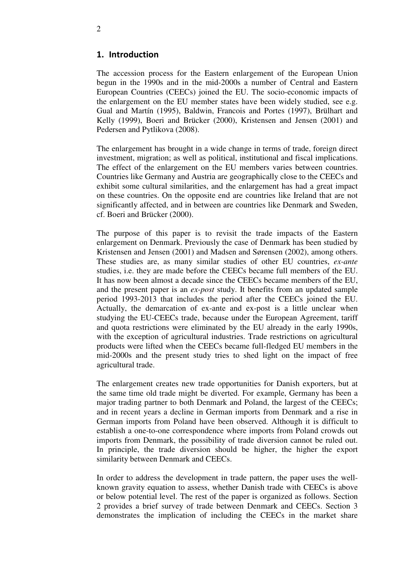### 1. Introduction

The accession process for the Eastern enlargement of the European Union begun in the 1990s and in the mid-2000s a number of Central and Eastern European Countries (CEECs) joined the EU. The socio-economic impacts of the enlargement on the EU member states have been widely studied, see e.g. Gual and Martín (1995), Baldwin, Francois and Portes (1997), Brülhart and Kelly (1999), Boeri and Brücker (2000), Kristensen and Jensen (2001) and Pedersen and Pytlikova (2008).

The enlargement has brought in a wide change in terms of trade, foreign direct investment, migration; as well as political, institutional and fiscal implications. The effect of the enlargement on the EU members varies between countries. Countries like Germany and Austria are geographically close to the CEECs and exhibit some cultural similarities, and the enlargement has had a great impact on these countries. On the opposite end are countries like Ireland that are not significantly affected, and in between are countries like Denmark and Sweden, cf. Boeri and Brücker (2000).

The purpose of this paper is to revisit the trade impacts of the Eastern enlargement on Denmark. Previously the case of Denmark has been studied by Kristensen and Jensen (2001) and Madsen and Sørensen (2002), among others. These studies are, as many similar studies of other EU countries, *ex-ante* studies, i.e. they are made before the CEECs became full members of the EU. It has now been almost a decade since the CEECs became members of the EU, and the present paper is an *ex-post* study. It benefits from an updated sample period 1993-2013 that includes the period after the CEECs joined the EU. Actually, the demarcation of ex-ante and ex-post is a little unclear when studying the EU-CEECs trade, because under the European Agreement, tariff and quota restrictions were eliminated by the EU already in the early 1990s, with the exception of agricultural industries. Trade restrictions on agricultural products were lifted when the CEECs became full-fledged EU members in the mid-2000s and the present study tries to shed light on the impact of free agricultural trade.

The enlargement creates new trade opportunities for Danish exporters, but at the same time old trade might be diverted. For example, Germany has been a major trading partner to both Denmark and Poland, the largest of the CEECs; and in recent years a decline in German imports from Denmark and a rise in German imports from Poland have been observed. Although it is difficult to establish a one-to-one correspondence where imports from Poland crowds out imports from Denmark, the possibility of trade diversion cannot be ruled out. In principle, the trade diversion should be higher, the higher the export similarity between Denmark and CEECs.

In order to address the development in trade pattern, the paper uses the wellknown gravity equation to assess, whether Danish trade with CEECs is above or below potential level. The rest of the paper is organized as follows. Section 2 provides a brief survey of trade between Denmark and CEECs. Section 3 demonstrates the implication of including the CEECs in the market share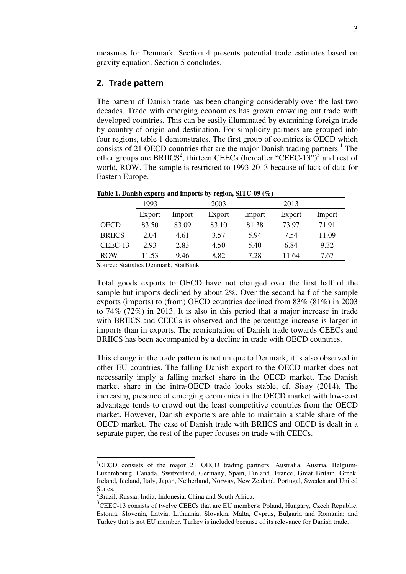measures for Denmark. Section 4 presents potential trade estimates based on gravity equation. Section 5 concludes.

## 2. Trade pattern

The pattern of Danish trade has been changing considerably over the last two decades. Trade with emerging economies has grown crowding out trade with developed countries. This can be easily illuminated by examining foreign trade by country of origin and destination. For simplicity partners are grouped into four regions, table 1 demonstrates. The first group of countries is OECD which consists of 21 OECD countries that are the major Danish trading partners.<sup>1</sup> The other groups are BRIICS<sup>2</sup>, thirteen CEECs (hereafter "CEEC-13")<sup>3</sup> and rest of world, ROW. The sample is restricted to 1993-2013 because of lack of data for Eastern Europe.

|               | 1993   |        | 2003   |        | 2013   |        |
|---------------|--------|--------|--------|--------|--------|--------|
|               | Export | Import | Export | Import | Export | Import |
| <b>OECD</b>   | 83.50  | 83.09  | 83.10  | 81.38  | 73.97  | 71.91  |
| <b>BRIICS</b> | 2.04   | 4.61   | 3.57   | 5.94   | 7.54   | 11.09  |
| CEEC-13       | 2.93   | 2.83   | 4.50   | 5.40   | 6.84   | 9.32   |
| <b>ROW</b>    | 11.53  | 9.46   | 8.82   | 7.28   | 11.64  | 7.67   |

**Table 1. Danish exports and imports by region, SITC-09 (%)** 

Source: Statistics Denmark, StatBank

Total goods exports to OECD have not changed over the first half of the sample but imports declined by about 2%. Over the second half of the sample exports (imports) to (from) OECD countries declined from 83% (81%) in 2003 to 74% (72%) in 2013. It is also in this period that a major increase in trade with BRIICS and CEECs is observed and the percentage increase is larger in imports than in exports. The reorientation of Danish trade towards CEECs and BRIICS has been accompanied by a decline in trade with OECD countries.

This change in the trade pattern is not unique to Denmark, it is also observed in other EU countries. The falling Danish export to the OECD market does not necessarily imply a falling market share in the OECD market. The Danish market share in the intra-OECD trade looks stable, cf. Sisay (2014). The increasing presence of emerging economies in the OECD market with low-cost advantage tends to crowd out the least competitive countries from the OECD market. However, Danish exporters are able to maintain a stable share of the OECD market. The case of Danish trade with BRIICS and OECD is dealt in a separate paper, the rest of the paper focuses on trade with CEECs.

-

<sup>&</sup>lt;sup>1</sup>OECD consists of the major 21 OECD trading partners: Australia, Austria, Belgium-Luxembourg, Canada, Switzerland, Germany, Spain, Finland, France, Great Britain, Greek, Ireland, Iceland, Italy, Japan, Netherland, Norway, New Zealand, Portugal, Sweden and United States.

<sup>&</sup>lt;sup>2</sup>Brazil, Russia, India, Indonesia, China and South Africa.

 $3$ CEEC-13 consists of twelve CEECs that are EU members: Poland, Hungary, Czech Republic, Estonia, Slovenia, Latvia, Lithuania, Slovakia, Malta, Cyprus, Bulgaria and Romania; and Turkey that is not EU member. Turkey is included because of its relevance for Danish trade.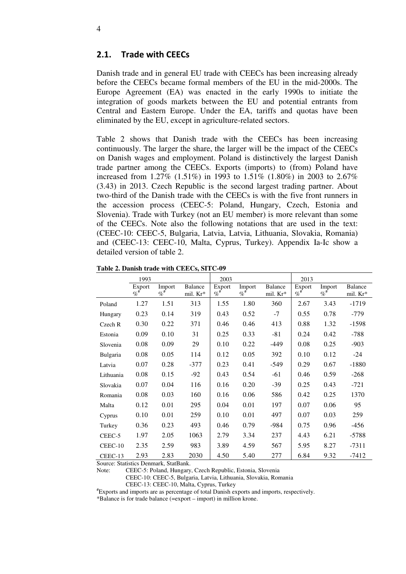## 2.1. Trade with CEECs

Danish trade and in general EU trade with CEECs has been increasing already before the CEECs became formal members of the EU in the mid-2000s. The Europe Agreement (EA) was enacted in the early 1990s to initiate the integration of goods markets between the EU and potential entrants from Central and Eastern Europe. Under the EA, tariffs and quotas have been eliminated by the EU, except in agriculture-related sectors.

Table 2 shows that Danish trade with the CEECs has been increasing continuously. The larger the share, the larger will be the impact of the CEECs on Danish wages and employment. Poland is distinctively the largest Danish trade partner among the CEECs. Exports (imports) to (from) Poland have increased from 1.27% (1.51%) in 1993 to 1.51% (1.80%) in 2003 to 2.67% (3.43) in 2013. Czech Republic is the second largest trading partner. About two-third of the Danish trade with the CEECs is with the five front runners in the accession process (CEEC-5: Poland, Hungary, Czech, Estonia and Slovenia). Trade with Turkey (not an EU member) is more relevant than some of the CEECs. Note also the following notations that are used in the text: (CEEC-10: CEEC-5, Bulgaria, Latvia, Latvia, Lithuania, Slovakia, Romania) and (CEEC-13: CEEC-10, Malta, Cyprus, Turkey). Appendix Ia-Ic show a detailed version of table 2.

|           | 1993               |                    |                            | 2003                        |                             |                     | 2013                        |                      |                     |
|-----------|--------------------|--------------------|----------------------------|-----------------------------|-----------------------------|---------------------|-----------------------------|----------------------|---------------------|
|           | Export<br>$\%^{*}$ | Import<br>$\%^{#}$ | <b>Balance</b><br>mil. Kr* | Export<br>$\%$ <sup>#</sup> | Import<br>$\%$ <sup>#</sup> | Balance<br>mil. Kr* | Export<br>$\%$ <sup>#</sup> | Import<br>$\% ^{\#}$ | Balance<br>mil. Kr* |
| Poland    | 1.27               | 1.51               | 313                        | 1.55                        | 1.80                        | 360                 | 2.67                        | 3.43                 | $-1719$             |
| Hungary   | 0.23               | 0.14               | 319                        | 0.43                        | 0.52                        | $-7$                | 0.55                        | 0.78                 | $-779$              |
| Czech R   | 0.30               | 0.22               | 371                        | 0.46                        | 0.46                        | 413                 | 0.88                        | 1.32                 | $-1598$             |
| Estonia   | 0.09               | 0.10               | 31                         | 0.25                        | 0.33                        | $-81$               | 0.24                        | 0.42                 | -788                |
| Slovenia  | 0.08               | 0.09               | 29                         | 0.10                        | 0.22                        | $-449$              | 0.08                        | 0.25                 | $-903$              |
| Bulgaria  | 0.08               | 0.05               | 114                        | 0.12                        | 0.05                        | 392                 | 0.10                        | 0.12                 | $-24$               |
| Latvia    | 0.07               | 0.28               | $-377$                     | 0.23                        | 0.41                        | $-549$              | 0.29                        | 0.67                 | $-1880$             |
| Lithuania | 0.08               | 0.15               | $-92$                      | 0.43                        | 0.54                        | $-61$               | 0.46                        | 0.59                 | $-268$              |
| Slovakia  | 0.07               | 0.04               | 116                        | 0.16                        | 0.20                        | $-39$               | 0.25                        | 0.43                 | $-721$              |
| Romania   | 0.08               | 0.03               | 160                        | 0.16                        | 0.06                        | 586                 | 0.42                        | 0.25                 | 1370                |
| Malta     | 0.12               | 0.01               | 295                        | 0.04                        | 0.01                        | 197                 | 0.07                        | 0.06                 | 95                  |
| Cyprus    | 0.10               | 0.01               | 259                        | 0.10                        | 0.01                        | 497                 | 0.07                        | 0.03                 | 259                 |
| Turkey    | 0.36               | 0.23               | 493                        | 0.46                        | 0.79                        | $-984$              | 0.75                        | 0.96                 | -456                |
| CEEC-5    | 1.97               | 2.05               | 1063                       | 2.79                        | 3.34                        | 237                 | 4.43                        | 6.21                 | $-5788$             |
| CEEC-10   | 2.35               | 2.59               | 983                        | 3.89                        | 4.59                        | 567                 | 5.95                        | 8.27                 | $-7311$             |
| CEEC-13   | 2.93               | 2.83               | 2030                       | 4.50                        | 5.40                        | 277                 | 6.84                        | 9.32                 | -7412               |

**Table 2. Danish trade with CEECs, SITC-09** 

Source: Statistics Denmark, StatBank.

Note: CEEC-5: Poland, Hungary, Czech Republic, Estonia, Slovenia

CEEC-10: CEEC-5, Bulgaria, Latvia, Lithuania, Slovakia, Romania

CEEC-13: CEEC-10, Malta, Cyprus, Turkey

#Exports and imports are as percentage of total Danish exports and imports, respectively.

\*Balance is for trade balance (=export – import) in million krone.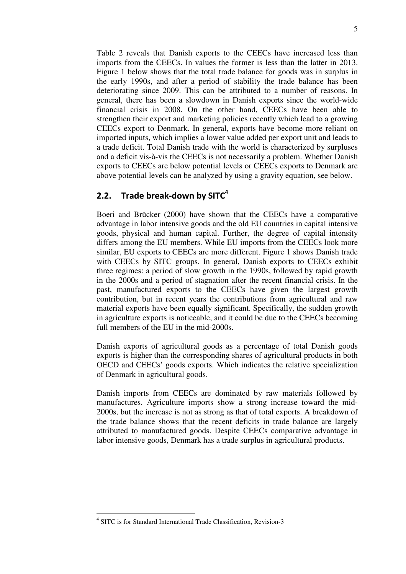Table 2 reveals that Danish exports to the CEECs have increased less than imports from the CEECs. In values the former is less than the latter in 2013. Figure 1 below shows that the total trade balance for goods was in surplus in the early 1990s, and after a period of stability the trade balance has been deteriorating since 2009. This can be attributed to a number of reasons. In general, there has been a slowdown in Danish exports since the world-wide financial crisis in 2008. On the other hand, CEECs have been able to strengthen their export and marketing policies recently which lead to a growing CEECs export to Denmark. In general, exports have become more reliant on imported inputs, which implies a lower value added per export unit and leads to a trade deficit. Total Danish trade with the world is characterized by surpluses and a deficit vis-à-vis the CEECs is not necessarily a problem. Whether Danish exports to CEECs are below potential levels or CEECs exports to Denmark are above potential levels can be analyzed by using a gravity equation, see below.

# 2.2. Trade break-down by SIT $C<sup>4</sup>$

Boeri and Brücker (2000) have shown that the CEECs have a comparative advantage in labor intensive goods and the old EU countries in capital intensive goods, physical and human capital. Further, the degree of capital intensity differs among the EU members. While EU imports from the CEECs look more similar, EU exports to CEECs are more different. Figure 1 shows Danish trade with CEECs by SITC groups. In general, Danish exports to CEECs exhibit three regimes: a period of slow growth in the 1990s, followed by rapid growth in the 2000s and a period of stagnation after the recent financial crisis. In the past, manufactured exports to the CEECs have given the largest growth contribution, but in recent years the contributions from agricultural and raw material exports have been equally significant. Specifically, the sudden growth in agriculture exports is noticeable, and it could be due to the CEECs becoming full members of the EU in the mid-2000s.

Danish exports of agricultural goods as a percentage of total Danish goods exports is higher than the corresponding shares of agricultural products in both OECD and CEECs' goods exports. Which indicates the relative specialization of Denmark in agricultural goods.

Danish imports from CEECs are dominated by raw materials followed by manufactures. Agriculture imports show a strong increase toward the mid-2000s, but the increase is not as strong as that of total exports. A breakdown of the trade balance shows that the recent deficits in trade balance are largely attributed to manufactured goods. Despite CEECs comparative advantage in labor intensive goods, Denmark has a trade surplus in agricultural products.

<sup>-</sup>4 SITC is for Standard International Trade Classification, Revision-3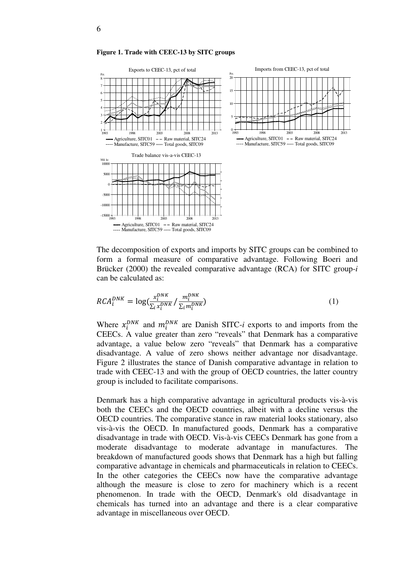

**Figure 1. Trade with CEEC-13 by SITC groups** 

The decomposition of exports and imports by SITC groups can be combined to form a formal measure of comparative advantage. Following Boeri and Brücker (2000) the revealed comparative advantage (RCA) for SITC group-*i* can be calculated as:

$$
RCA_i^{DNK} = \log(\frac{x_i^{DNK}}{\sum_i x_i^{DNK}} / \frac{m_i^{DNK}}{\sum_i m_i^{DNK}})
$$
 (1)

Where  $x_i^{DNK}$  and  $m_i^{DNK}$  are Danish SITC-*i* exports to and imports from the CEECs. A value greater than zero "reveals" that Denmark has a comparative advantage, a value below zero "reveals" that Denmark has a comparative disadvantage. A value of zero shows neither advantage nor disadvantage. Figure 2 illustrates the stance of Danish comparative advantage in relation to trade with CEEC-13 and with the group of OECD countries, the latter country group is included to facilitate comparisons.

Denmark has a high comparative advantage in agricultural products vis-à-vis both the CEECs and the OECD countries, albeit with a decline versus the OECD countries. The comparative stance in raw material looks stationary, also vis-à-vis the OECD. In manufactured goods, Denmark has a comparative disadvantage in trade with OECD. Vis-à-vis CEECs Denmark has gone from a moderate disadvantage to moderate advantage in manufactures. The breakdown of manufactured goods shows that Denmark has a high but falling comparative advantage in chemicals and pharmaceuticals in relation to CEECs. In the other categories the CEECs now have the comparative advantage although the measure is close to zero for machinery which is a recent phenomenon. In trade with the OECD, Denmark's old disadvantage in chemicals has turned into an advantage and there is a clear comparative advantage in miscellaneous over OECD.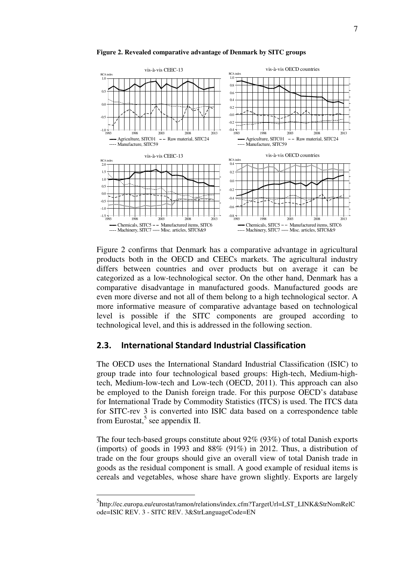

**Figure 2. Revealed comparative advantage of Denmark by SITC groups** 

Figure 2 confirms that Denmark has a comparative advantage in agricultural products both in the OECD and CEECs markets. The agricultural industry differs between countries and over products but on average it can be categorized as a low-technological sector. On the other hand, Denmark has a comparative disadvantage in manufactured goods. Manufactured goods are even more diverse and not all of them belong to a high technological sector. A more informative measure of comparative advantage based on technological level is possible if the SITC components are grouped according to technological level, and this is addressed in the following section.

#### 2.3. International Standard Industrial Classification

The OECD uses the International Standard Industrial Classification (ISIC) to group trade into four technological based groups: High-tech, Medium-hightech, Medium-low-tech and Low-tech (OECD, 2011). This approach can also be employed to the Danish foreign trade. For this purpose OECD's database for International Trade by Commodity Statistics (ITCS) is used. The ITCS data for SITC-rev 3 is converted into ISIC data based on a correspondence table from Eurostat, $5$  see appendix II.

The four tech-based groups constitute about 92% (93%) of total Danish exports (imports) of goods in 1993 and  $88\%$  (91%) in 2012. Thus, a distribution of trade on the four groups should give an overall view of total Danish trade in goods as the residual component is small. A good example of residual items is cereals and vegetables, whose share have grown slightly. Exports are largely

<u>.</u>

<sup>5</sup> http://ec.europa.eu/eurostat/ramon/relations/index.cfm?TargetUrl=LST\_LINK&StrNomRelC ode=ISIC REV. 3 - SITC REV. 3&StrLanguageCode=EN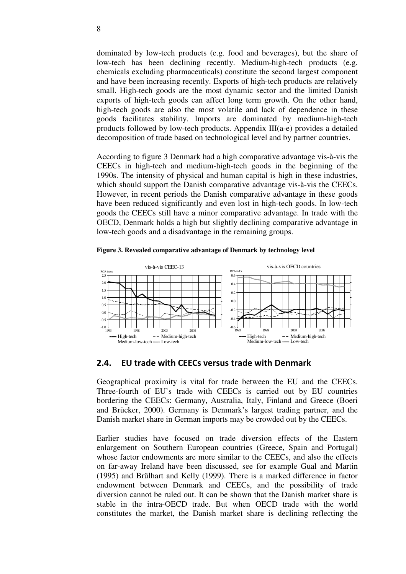dominated by low-tech products (e.g. food and beverages), but the share of low-tech has been declining recently. Medium-high-tech products (e.g. chemicals excluding pharmaceuticals) constitute the second largest component and have been increasing recently. Exports of high-tech products are relatively small. High-tech goods are the most dynamic sector and the limited Danish exports of high-tech goods can affect long term growth. On the other hand, high-tech goods are also the most volatile and lack of dependence in these goods facilitates stability. Imports are dominated by medium-high-tech products followed by low-tech products. Appendix III(a-e) provides a detailed decomposition of trade based on technological level and by partner countries.

According to figure 3 Denmark had a high comparative advantage vis-à-vis the CEECs in high-tech and medium-high-tech goods in the beginning of the 1990s. The intensity of physical and human capital is high in these industries, which should support the Danish comparative advantage vis-à-vis the CEECs. However, in recent periods the Danish comparative advantage in these goods have been reduced significantly and even lost in high-tech goods. In low-tech goods the CEECs still have a minor comparative advantage. In trade with the OECD, Denmark holds a high but slightly declining comparative advantage in low-tech goods and a disadvantage in the remaining groups.





### 2.4. EU trade with CEECs versus trade with Denmark

Geographical proximity is vital for trade between the EU and the CEECs. Three-fourth of EU's trade with CEECs is carried out by EU countries bordering the CEECs: Germany, Australia, Italy, Finland and Greece (Boeri and Brücker, 2000). Germany is Denmark's largest trading partner, and the Danish market share in German imports may be crowded out by the CEECs.

Earlier studies have focused on trade diversion effects of the Eastern enlargement on Southern European countries (Greece, Spain and Portugal) whose factor endowments are more similar to the CEECs, and also the effects on far-away Ireland have been discussed, see for example Gual and Martin (1995) and Brülhart and Kelly (1999). There is a marked difference in factor endowment between Denmark and CEECs, and the possibility of trade diversion cannot be ruled out. It can be shown that the Danish market share is stable in the intra-OECD trade. But when OECD trade with the world constitutes the market, the Danish market share is declining reflecting the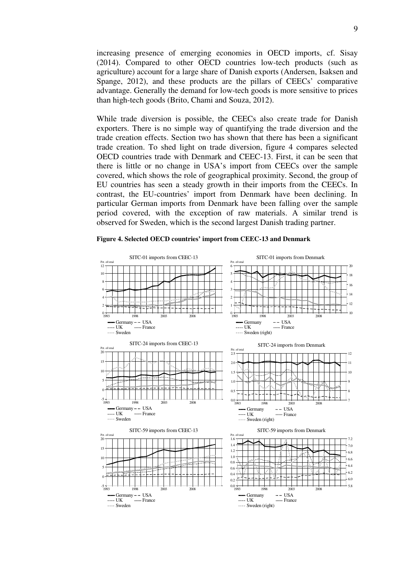increasing presence of emerging economies in OECD imports, cf. Sisay (2014). Compared to other OECD countries low-tech products (such as agriculture) account for a large share of Danish exports (Andersen, Isaksen and Spange, 2012), and these products are the pillars of CEECs' comparative advantage. Generally the demand for low-tech goods is more sensitive to prices than high-tech goods (Brito, Chami and Souza, 2012).

While trade diversion is possible, the CEECs also create trade for Danish exporters. There is no simple way of quantifying the trade diversion and the trade creation effects. Section two has shown that there has been a significant trade creation. To shed light on trade diversion, figure 4 compares selected OECD countries trade with Denmark and CEEC-13. First, it can be seen that there is little or no change in USA's import from CEECs over the sample covered, which shows the role of geographical proximity. Second, the group of EU countries has seen a steady growth in their imports from the CEECs. In contrast, the EU-countries' import from Denmark have been declining. In particular German imports from Denmark have been falling over the sample period covered, with the exception of raw materials. A similar trend is observed for Sweden, which is the second largest Danish trading partner.



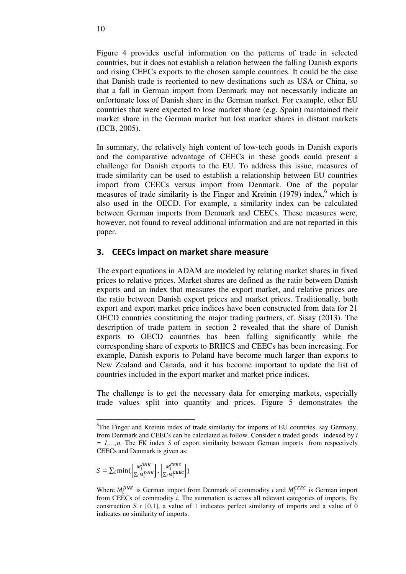Figure 4 provides useful information on the patterns of trade in selected countries, but it does not establish a relation between the falling Danish exports and rising CEECs exports to the chosen sample countries. It could be the case that Danish trade is reoriented to new destinations such as USA or China, so that a fall in German import from Denmark may not necessarily indicate an unfortunate loss of Danish share in the German market. For example, other EU countries that were expected to lose market share (e.g. Spain) maintained their market share in the German market but lost market shares in distant markets (ECB, 2005).

In summary, the relatively high content of low-tech goods in Danish exports and the comparative advantage of CEECs in these goods could present a challenge for Danish exports to the EU. To address this issue, measures of trade similarity can be used to establish a relationship between EU countries import from CEECs versus import from Denmark. One of the popular measures of trade similarity is the Finger and Kreinin  $(1979)$  index,<sup>6</sup> which is also used in the OECD. For example, a similarity index can be calculated between German imports from Denmark and CEECs. These measures were, however, not found to reveal additional information and are not reported in this paper.

### 3. CEECs impact on market share measure

The export equations in ADAM are modeled by relating market shares in fixed prices to relative prices. Market shares are defined as the ratio between Danish exports and an index that measures the export market, and relative prices are the ratio between Danish export prices and market prices. Traditionally, both export and export market price indices have been constructed from data for 21 OECD countries constituting the major trading partners, cf. Sisay (2013). The description of trade pattern in section 2 revealed that the share of Danish exports to OECD countries has been falling significantly while the corresponding share of exports to BRIICS and CEECs has been increasing. For example, Danish exports to Poland have become much larger than exports to New Zealand and Canada, and it has become important to update the list of countries included in the export market and market price indices.

The challenge is to get the necessary data for emerging markets, especially trade values split into quantity and prices. Figure 5 demonstrates the

$$
S = \sum_{i} \min\left(\frac{M_i^{DNK}}{\sum_{i} M_i^{DNK}}\right), \left[\frac{M_i^{CEEC}}{\sum_{i} M_i^{CEEC}}\right)
$$

<u>.</u>

<sup>6</sup>The Finger and Kreinin index of trade similarity for imports of EU countries, say Germany, from Denmark and CEECs can be calculated as follow. Consider n traded goods indexed by *i = 1,…,n.* The FK index *S* of export similarity between German imports from respectively CEECs and Denmark is given as:

Where  $M_i^{DNK}$  is German import from Denmark of commodity *i* and  $M_i^{CEEC}$  is German import from CEECs of commodity *i.* The summation is across all relevant categories of imports. By construction S  $\epsilon$  [0,1], a value of 1 indicates perfect similarity of imports and a value of 0 indicates no similarity of imports.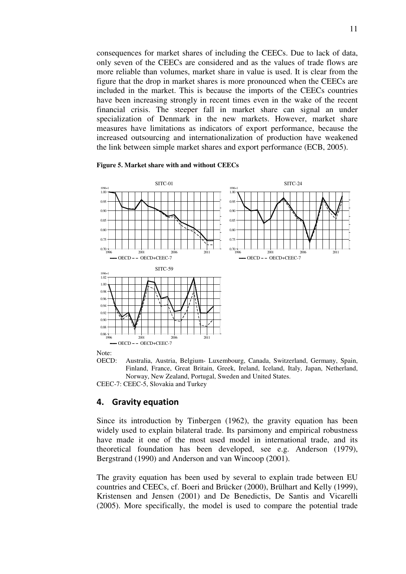consequences for market shares of including the CEECs. Due to lack of data, only seven of the CEECs are considered and as the values of trade flows are more reliable than volumes, market share in value is used. It is clear from the figure that the drop in market shares is more pronounced when the CEECs are included in the market. This is because the imports of the CEECs countries have been increasing strongly in recent times even in the wake of the recent financial crisis. The steeper fall in market share can signal an under specialization of Denmark in the new markets. However, market share measures have limitations as indicators of export performance, because the increased outsourcing and internationalization of production have weakened the link between simple market shares and export performance (ECB, 2005).

#### **Figure 5. Market share with and without CEECs**



Note:

OECD: Australia, Austria, Belgium- Luxembourg, Canada, Switzerland, Germany, Spain, Finland, France, Great Britain, Greek, Ireland, Iceland, Italy, Japan, Netherland, Norway, New Zealand, Portugal, Sweden and United States.

CEEC-7: CEEC-5, Slovakia and Turkey

#### 4. Gravity equation

Since its introduction by Tinbergen (1962), the gravity equation has been widely used to explain bilateral trade. Its parsimony and empirical robustness have made it one of the most used model in international trade, and its theoretical foundation has been developed, see e.g. Anderson (1979), Bergstrand (1990) and Anderson and van Wincoop (2001).

The gravity equation has been used by several to explain trade between EU countries and CEECs, cf. Boeri and Brücker (2000), Brülhart and Kelly (1999), Kristensen and Jensen (2001) and De Benedictis, De Santis and Vicarelli (2005). More specifically, the model is used to compare the potential trade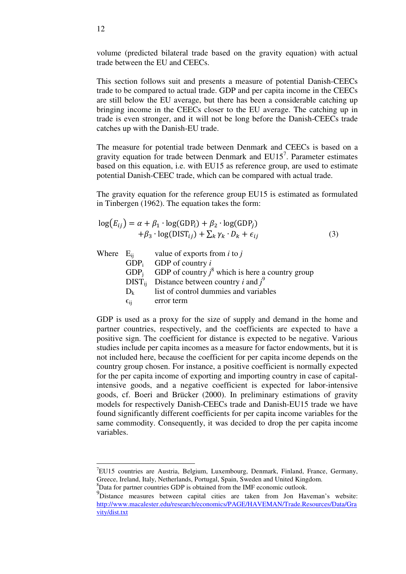volume (predicted bilateral trade based on the gravity equation) with actual trade between the EU and CEECs.

This section follows suit and presents a measure of potential Danish-CEECs trade to be compared to actual trade. GDP and per capita income in the CEECs are still below the EU average, but there has been a considerable catching up bringing income in the CEECs closer to the EU average. The catching up in trade is even stronger, and it will not be long before the Danish-CEECs trade catches up with the Danish-EU trade.

The measure for potential trade between Denmark and CEECs is based on a gravity equation for trade between Denmark and  $EU15<sup>7</sup>$ . Parameter estimates based on this equation, i.e. with EU15 as reference group, are used to estimate potential Danish-CEEC trade, which can be compared with actual trade.

The gravity equation for the reference group EU15 is estimated as formulated in Tinbergen (1962). The equation takes the form:

$$
log(E_{ij}) = \alpha + \beta_1 \cdot log(GDP_i) + \beta_2 \cdot log(GDP_j) + \beta_3 \cdot log(DIST_{ij}) + \sum_k \gamma_k \cdot D_k + \epsilon_{ij}
$$
\n(3)

|                 | Where $E_{ii}$ value of exports from <i>i</i> to <i>j</i>                |
|-----------------|--------------------------------------------------------------------------|
|                 | $GDP_i$ GDP of country i                                                 |
|                 | GDP <sub>i</sub> GDP of country $j^8$ which is here a country group      |
|                 | $\overrightarrow{DIST}_{ii}$ Distance between country <i>i</i> and $j^9$ |
| $D_{k}$         | list of control dummies and variables                                    |
| $\epsilon_{ii}$ | error term                                                               |
|                 |                                                                          |

GDP is used as a proxy for the size of supply and demand in the home and partner countries, respectively, and the coefficients are expected to have a positive sign. The coefficient for distance is expected to be negative. Various studies include per capita incomes as a measure for factor endowments, but it is not included here, because the coefficient for per capita income depends on the country group chosen. For instance, a positive coefficient is normally expected for the per capita income of exporting and importing country in case of capitalintensive goods, and a negative coefficient is expected for labor-intensive goods, cf. Boeri and Brücker (2000). In preliminary estimations of gravity models for respectively Danish-CEECs trade and Danish-EU15 trade we have found significantly different coefficients for per capita income variables for the same commodity. Consequently, it was decided to drop the per capita income variables.

-

<sup>7</sup>EU15 countries are Austria, Belgium, Luxembourg, Denmark, Finland, France, Germany, Greece, Ireland, Italy, Netherlands, Portugal, Spain, Sweden and United Kingdom. <sup>8</sup>Data for partner countries GDP is obtained from the IMF economic outlook.

<sup>&</sup>lt;sup>9</sup>Distance measures between capital cities are taken from Jon Haveman's website: http://www.macalester.edu/research/economics/PAGE/HAVEMAN/Trade.Resources/Data/Gra vity/dist.txt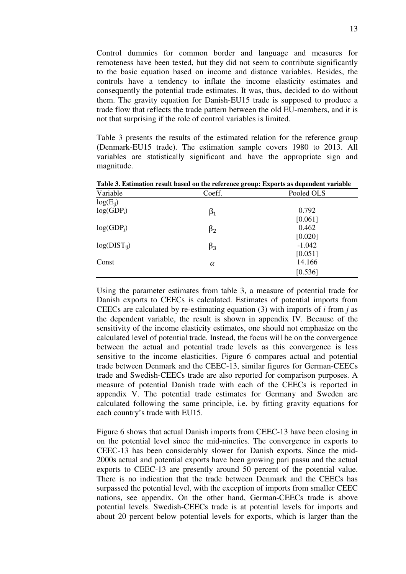Control dummies for common border and language and measures for remoteness have been tested, but they did not seem to contribute significantly to the basic equation based on income and distance variables. Besides, the controls have a tendency to inflate the income elasticity estimates and consequently the potential trade estimates. It was, thus, decided to do without them. The gravity equation for Danish-EU15 trade is supposed to produce a trade flow that reflects the trade pattern between the old EU-members, and it is not that surprising if the role of control variables is limited.

Table 3 presents the results of the estimated relation for the reference group (Denmark-EU15 trade). The estimation sample covers 1980 to 2013. All variables are statistically significant and have the appropriate sign and magnitude.

| Variable         | Coeff.    | Pooled OLS |
|------------------|-----------|------------|
| $log(E_{ii})$    |           |            |
| $log(GDP_i)$     | $\beta_1$ | 0.792      |
|                  |           | [0.061]    |
| $log(GDP_i)$     | $\beta_2$ | 0.462      |
|                  |           | [0.020]    |
| $log(DIST_{ii})$ | $\beta_3$ | $-1.042$   |
|                  |           | [0.051]    |
| Const            | $\alpha$  | 14.166     |
|                  |           | [0.536]    |

**Table 3. Estimation result based on the reference group: Exports as dependent variable** 

Using the parameter estimates from table 3, a measure of potential trade for Danish exports to CEECs is calculated. Estimates of potential imports from CEECs are calculated by re-estimating equation (3) with imports of *i* from *j* as the dependent variable, the result is shown in appendix IV. Because of the sensitivity of the income elasticity estimates, one should not emphasize on the calculated level of potential trade. Instead, the focus will be on the convergence between the actual and potential trade levels as this convergence is less sensitive to the income elasticities. Figure 6 compares actual and potential trade between Denmark and the CEEC-13, similar figures for German-CEECs trade and Swedish-CEECs trade are also reported for comparison purposes. A measure of potential Danish trade with each of the CEECs is reported in appendix V. The potential trade estimates for Germany and Sweden are calculated following the same principle, i.e. by fitting gravity equations for each country's trade with EU15.

Figure 6 shows that actual Danish imports from CEEC-13 have been closing in on the potential level since the mid-nineties. The convergence in exports to CEEC-13 has been considerably slower for Danish exports. Since the mid-2000s actual and potential exports have been growing pari passu and the actual exports to CEEC-13 are presently around 50 percent of the potential value. There is no indication that the trade between Denmark and the CEECs has surpassed the potential level, with the exception of imports from smaller CEEC nations, see appendix. On the other hand, German-CEECs trade is above potential levels. Swedish-CEECs trade is at potential levels for imports and about 20 percent below potential levels for exports, which is larger than the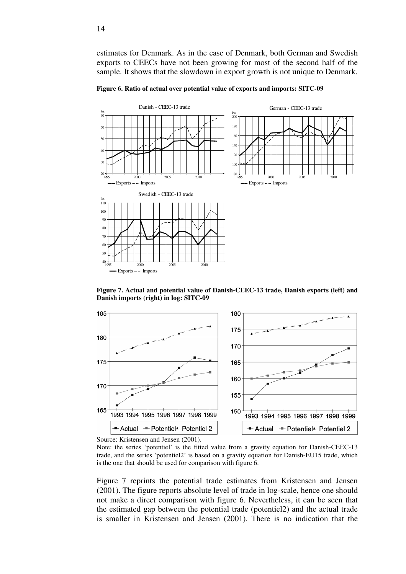estimates for Denmark. As in the case of Denmark, both German and Swedish exports to CEECs have not been growing for most of the second half of the sample. It shows that the slowdown in export growth is not unique to Denmark.

**Figure 6. Ratio of actual over potential value of exports and imports: SITC-09** 



**Figure 7. Actual and potential value of Danish-CEEC-13 trade, Danish exports (left) and Danish imports (right) in log: SITC-09** 



Source: Kristensen and Jensen (2001).

Note: the series 'potentiel' is the fitted value from a gravity equation for Danish-CEEC-13 trade, and the series 'potentiel2' is based on a gravity equation for Danish-EU15 trade, which is the one that should be used for comparison with figure 6.

Figure 7 reprints the potential trade estimates from Kristensen and Jensen (2001). The figure reports absolute level of trade in log-scale, hence one should not make a direct comparison with figure 6. Nevertheless, it can be seen that the estimated gap between the potential trade (potentiel2) and the actual trade is smaller in Kristensen and Jensen (2001). There is no indication that the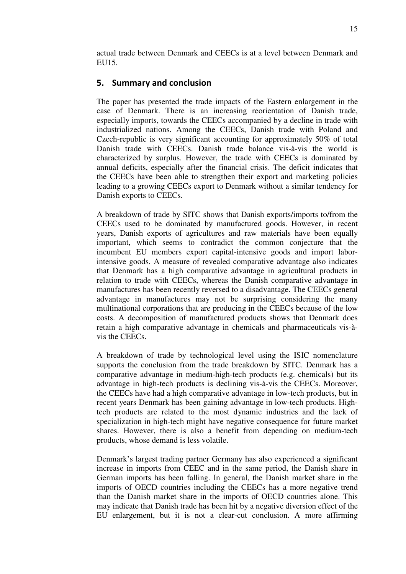actual trade between Denmark and CEECs is at a level between Denmark and EU15.

## 5. Summary and conclusion

The paper has presented the trade impacts of the Eastern enlargement in the case of Denmark. There is an increasing reorientation of Danish trade, especially imports, towards the CEECs accompanied by a decline in trade with industrialized nations. Among the CEECs, Danish trade with Poland and Czech-republic is very significant accounting for approximately 50% of total Danish trade with CEECs. Danish trade balance vis-à-vis the world is characterized by surplus. However, the trade with CEECs is dominated by annual deficits, especially after the financial crisis. The deficit indicates that the CEECs have been able to strengthen their export and marketing policies leading to a growing CEECs export to Denmark without a similar tendency for Danish exports to CEECs.

A breakdown of trade by SITC shows that Danish exports/imports to/from the CEECs used to be dominated by manufactured goods. However, in recent years, Danish exports of agricultures and raw materials have been equally important, which seems to contradict the common conjecture that the incumbent EU members export capital-intensive goods and import laborintensive goods. A measure of revealed comparative advantage also indicates that Denmark has a high comparative advantage in agricultural products in relation to trade with CEECs, whereas the Danish comparative advantage in manufactures has been recently reversed to a disadvantage. The CEECs general advantage in manufactures may not be surprising considering the many multinational corporations that are producing in the CEECs because of the low costs. A decomposition of manufactured products shows that Denmark does retain a high comparative advantage in chemicals and pharmaceuticals vis-àvis the CEECs.

A breakdown of trade by technological level using the ISIC nomenclature supports the conclusion from the trade breakdown by SITC. Denmark has a comparative advantage in medium-high-tech products (e.g. chemicals) but its advantage in high-tech products is declining vis-à-vis the CEECs. Moreover, the CEECs have had a high comparative advantage in low-tech products, but in recent years Denmark has been gaining advantage in low-tech products. Hightech products are related to the most dynamic industries and the lack of specialization in high-tech might have negative consequence for future market shares. However, there is also a benefit from depending on medium-tech products, whose demand is less volatile.

Denmark's largest trading partner Germany has also experienced a significant increase in imports from CEEC and in the same period, the Danish share in German imports has been falling. In general, the Danish market share in the imports of OECD countries including the CEECs has a more negative trend than the Danish market share in the imports of OECD countries alone. This may indicate that Danish trade has been hit by a negative diversion effect of the EU enlargement, but it is not a clear-cut conclusion. A more affirming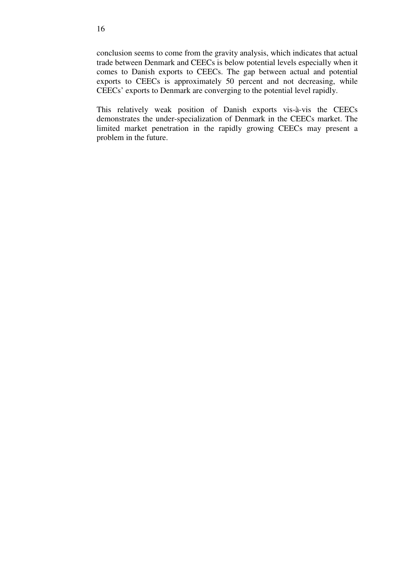conclusion seems to come from the gravity analysis, which indicates that actual trade between Denmark and CEECs is below potential levels especially when it comes to Danish exports to CEECs. The gap between actual and potential exports to CEECs is approximately 50 percent and not decreasing, while CEECs' exports to Denmark are converging to the potential level rapidly.

This relatively weak position of Danish exports vis-à-vis the CEECs demonstrates the under-specialization of Denmark in the CEECs market. The limited market penetration in the rapidly growing CEECs may present a problem in the future.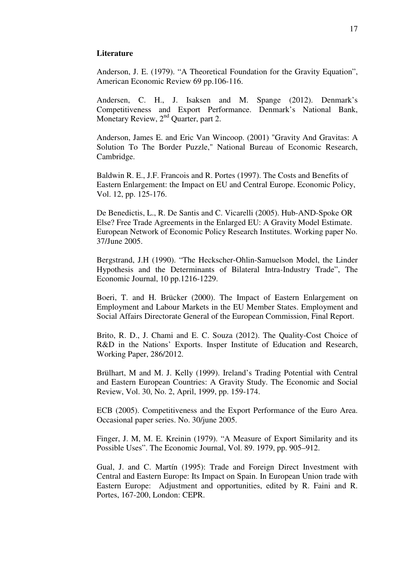#### **Literature**

Anderson, J. E. (1979). "A Theoretical Foundation for the Gravity Equation", American Economic Review 69 pp.106-116.

Andersen, C. H., J. Isaksen and M. Spange (2012). Denmark's Competitiveness and Export Performance. Denmark's National Bank, Monetary Review, 2<sup>nd</sup> Quarter, part 2.

Anderson, James E. and Eric Van Wincoop. (2001) "Gravity And Gravitas: A Solution To The Border Puzzle," National Bureau of Economic Research, Cambridge.

Baldwin R. E., J.F. Francois and R. Portes (1997). The Costs and Benefits of Eastern Enlargement: the Impact on EU and Central Europe. Economic Policy, Vol. 12, pp. 125-176.

De Benedictis, L., R. De Santis and C. Vicarelli (2005). Hub-AND-Spoke OR Else? Free Trade Agreements in the Enlarged EU: A Gravity Model Estimate. European Network of Economic Policy Research Institutes. Working paper No. 37/June 2005.

Bergstrand, J.H (1990). "The Heckscher-Ohlin-Samuelson Model, the Linder Hypothesis and the Determinants of Bilateral Intra-Industry Trade", The Economic Journal, 10 pp.1216-1229.

Boeri, T. and H. Brücker (2000). The Impact of Eastern Enlargement on Employment and Labour Markets in the EU Member States. Employment and Social Affairs Directorate General of the European Commission, Final Report.

Brito, R. D., J. Chami and E. C. Souza (2012). The Quality-Cost Choice of R&D in the Nations' Exports. Insper Institute of Education and Research, Working Paper, 286/2012.

Brülhart, M and M. J. Kelly (1999). Ireland's Trading Potential with Central and Eastern European Countries: A Gravity Study. The Economic and Social Review, Vol. 30, No. 2, April, 1999, pp. 159-174.

ECB (2005). Competitiveness and the Export Performance of the Euro Area. Occasional paper series. No. 30/june 2005.

Finger, J. M, M. E. Kreinin (1979). "A Measure of Export Similarity and its Possible Uses". The Economic Journal, Vol. 89. 1979, pp. 905–912.

Gual, J. and C. Martín (1995): Trade and Foreign Direct Investment with Central and Eastern Europe: Its Impact on Spain. In European Union trade with Eastern Europe: Adjustment and opportunities, edited by R. Faini and R. Portes, 167-200, London: CEPR.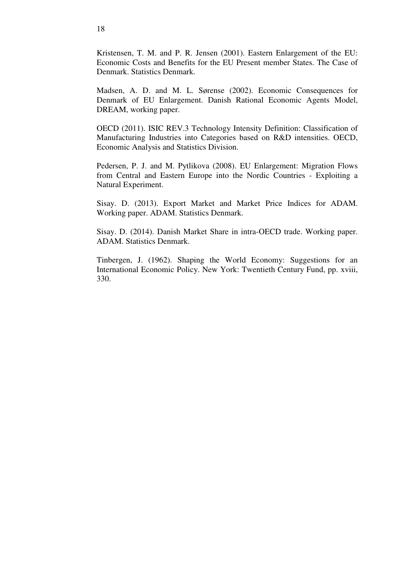Kristensen, T. M. and P. R. Jensen (2001). Eastern Enlargement of the EU: Economic Costs and Benefits for the EU Present member States. The Case of Denmark. Statistics Denmark.

Madsen, A. D. and M. L. Sørense (2002). Economic Consequences for Denmark of EU Enlargement. Danish Rational Economic Agents Model, DREAM, working paper.

OECD (2011). ISIC REV.3 Technology Intensity Definition: Classification of Manufacturing Industries into Categories based on R&D intensities. OECD, Economic Analysis and Statistics Division.

Pedersen, P. J. and M. Pytlikova (2008). EU Enlargement: Migration Flows from Central and Eastern Europe into the Nordic Countries - Exploiting a Natural Experiment.

Sisay. D. (2013). Export Market and Market Price Indices for ADAM. Working paper. ADAM. Statistics Denmark.

Sisay. D. (2014). Danish Market Share in intra-OECD trade. Working paper. ADAM. Statistics Denmark.

Tinbergen, J. (1962). Shaping the World Economy: Suggestions for an International Economic Policy. New York: Twentieth Century Fund, pp. xviii, 330.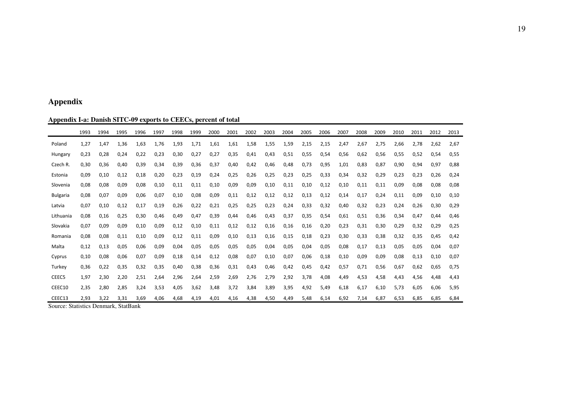#### **Appendix**

#### **Appendix I-a: Danish SITC-09 exports to CEECs, percent of total**

|                 | 1993 | 1994 | 1995 | 1996 | 1997 | 1998 | 1999 | 2000 | 2001 | 2002 | 2003 | 2004 | 2005 | 2006 | 2007 | 2008 | 2009 | 2010 | 2011 | 2012 | 2013 |
|-----------------|------|------|------|------|------|------|------|------|------|------|------|------|------|------|------|------|------|------|------|------|------|
| Poland          | 1,27 | 1.47 | 1.36 | 1,63 | 1,76 | 1,93 | 1,71 | 1,61 | 1,61 | 1,58 | 1,55 | 1,59 | 2,15 | 2,15 | 2,47 | 2,67 | 2,75 | 2,66 | 2,78 | 2,62 | 2,67 |
| Hungary         | 0,23 | 0,28 | 0,24 | 0,22 | 0,23 | 0,30 | 0,27 | 0,27 | 0,35 | 0,41 | 0,43 | 0,51 | 0,55 | 0,54 | 0,56 | 0,62 | 0,56 | 0,55 | 0,52 | 0,54 | 0,55 |
| Czech R.        | 0,30 | 0,36 | 0,40 | 0,39 | 0,34 | 0,39 | 0,36 | 0,37 | 0,40 | 0,42 | 0,46 | 0,48 | 0,73 | 0,95 | 1,01 | 0,83 | 0,87 | 0,90 | 0,94 | 0,97 | 0,88 |
| Estonia         | 0,09 | 0,10 | 0.12 | 0,18 | 0,20 | 0,23 | 0,19 | 0,24 | 0,25 | 0,26 | 0,25 | 0,23 | 0,25 | 0,33 | 0,34 | 0,32 | 0,29 | 0.23 | 0,23 | 0,26 | 0,24 |
| Slovenia        | 0.08 | 0.08 | 0.09 | 0.08 | 0.10 | 0.11 | 0,11 | 0.10 | 0.09 | 0,09 | 0,10 | 0,11 | 0,10 | 0,12 | 0.10 | 0,11 | 0,11 | 0.09 | 0,08 | 0,08 | 0,08 |
| <b>Bulgaria</b> | 0,08 | 0,07 | 0.09 | 0,06 | 0,07 | 0,10 | 0,08 | 0,09 | 0,11 | 0,12 | 0,12 | 0,12 | 0,13 | 0,12 | 0,14 | 0,17 | 0,24 | 0,11 | 0,09 | 0,10 | 0,10 |
| Latvia          | 0.07 | 0.10 | 0.12 | 0,17 | 0,19 | 0.26 | 0,22 | 0,21 | 0,25 | 0,25 | 0,23 | 0,24 | 0,33 | 0,32 | 0,40 | 0,32 | 0,23 | 0.24 | 0,26 | 0,30 | 0,29 |
| Lithuania       | 0,08 | 0,16 | 0,25 | 0,30 | 0,46 | 0,49 | 0,47 | 0,39 | 0,44 | 0,46 | 0,43 | 0,37 | 0,35 | 0,54 | 0,61 | 0,51 | 0,36 | 0,34 | 0,47 | 0,44 | 0,46 |
| Slovakia        | 0,07 | 0,09 | 0.09 | 0,10 | 0,09 | 0,12 | 0,10 | 0,11 | 0,12 | 0,12 | 0,16 | 0,16 | 0,16 | 0,20 | 0,23 | 0,31 | 0,30 | 0.29 | 0,32 | 0,29 | 0,25 |
| Romania         | 0,08 | 0,08 | 0,11 | 0,10 | 0,09 | 0,12 | 0,11 | 0,09 | 0,10 | 0,13 | 0,16 | 0,15 | 0,18 | 0,23 | 0,30 | 0,33 | 0,38 | 0,32 | 0,35 | 0,45 | 0,42 |
| Malta           | 0,12 | 0.13 | 0.05 | 0.06 | 0,09 | 0.04 | 0,05 | 0,05 | 0,05 | 0,05 | 0,04 | 0,05 | 0,04 | 0,05 | 0.08 | 0,17 | 0,13 | 0.05 | 0,05 | 0,04 | 0,07 |
| Cyprus          | 0,10 | 0.08 | 0.06 | 0.07 | 0,09 | 0.18 | 0,14 | 0,12 | 0.08 | 0,07 | 0,10 | 0,07 | 0,06 | 0,18 | 0.10 | 0,09 | 0,09 | 0.08 | 0,13 | 0,10 | 0,07 |
| Turkey          | 0,36 | 0,22 | 0,35 | 0,32 | 0,35 | 0,40 | 0,38 | 0,36 | 0,31 | 0,43 | 0,46 | 0,42 | 0,45 | 0,42 | 0,57 | 0,71 | 0,56 | 0.67 | 0,62 | 0,65 | 0,75 |
| CEEC5           | 1,97 | 2,30 | 2,20 | 2,51 | 2,64 | 2,96 | 2,64 | 2,59 | 2,69 | 2,76 | 2,79 | 2,92 | 3,78 | 4,08 | 4,49 | 4,53 | 4,58 | 4.43 | 4,56 | 4,48 | 4,43 |
| CEEC10          | 2,35 | 2,80 | 2,85 | 3,24 | 3,53 | 4,05 | 3,62 | 3,48 | 3,72 | 3,84 | 3,89 | 3,95 | 4,92 | 5,49 | 6,18 | 6,17 | 6,10 | 5.73 | 6,05 | 6,06 | 5,95 |
| CEEC13          | 2,93 | 3,22 | 3,31 | 3,69 | 4,06 | 4,68 | 4,19 | 4,01 | 4,16 | 4,38 | 4,50 | 4,49 | 5,48 | 6,14 | 6,92 | 7,14 | 6.87 | 6.53 | 6.85 | 6.85 | 6,84 |

Source: Statistics Denmark, StatBank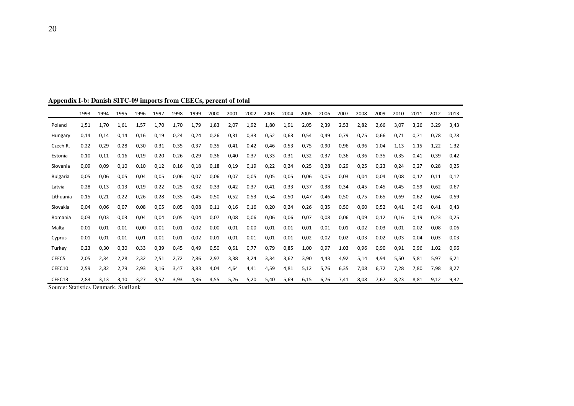|                   | 1993 | 1994 | 1995 | 1996 | 1997 | 1998 | 1999 | 2000 | 2001 | 2002 | 2003 | 2004 | 2005 | 2006 | 2007 | 2008 | 2009 | 2010 | 2011 | 2012 | 2013 |
|-------------------|------|------|------|------|------|------|------|------|------|------|------|------|------|------|------|------|------|------|------|------|------|
| Poland            | 1,51 | 1.70 | 1.61 | 1,57 | 1.70 | 1.70 | 1.79 | 1.83 | 2,07 | 1,92 | 1,80 | 1,91 | 2,05 | 2,39 | 2,53 | 2,82 | 2.66 | 3.07 | 3,26 | 3.29 | 3.43 |
| Hungary           | 0,14 | 0,14 | 0.14 | 0,16 | 0,19 | 0,24 | 0,24 | 0,26 | 0,31 | 0,33 | 0,52 | 0,63 | 0,54 | 0,49 | 0,79 | 0,75 | 0.66 | 0,71 | 0,71 | 0.78 | 0,78 |
| Czech R.          | 0,22 | 0,29 | 0.28 | 0,30 | 0,31 | 0,35 | 0,37 | 0,35 | 0,41 | 0,42 | 0,46 | 0,53 | 0,75 | 0,90 | 0,96 | 0,96 | 1,04 | 1,13 | 1,15 | 1,22 | 1,32 |
| Estonia           | 0,10 | 0.11 | 0.16 | 0,19 | 0.20 | 0.26 | 0,29 | 0,36 | 0,40 | 0,37 | 0.33 | 0,31 | 0,32 | 0.37 | 0.36 | 0,36 | 0.35 | 0.35 | 0,41 | 0.39 | 0.42 |
| Slovenia          | 0,09 | 0,09 | 0,10 | 0,10 | 0,12 | 0.16 | 0,18 | 0,18 | 0,19 | 0,19 | 0,22 | 0,24 | 0,25 | 0,28 | 0,29 | 0,25 | 0.23 | 0,24 | 0,27 | 0,28 | 0,25 |
| <b>Bulgaria</b>   | 0,05 | 0,06 | 0.05 | 0,04 | 0,05 | 0.06 | 0,07 | 0,06 | 0,07 | 0,05 | 0,05 | 0,05 | 0,06 | 0,05 | 0,03 | 0,04 | 0,04 | 0,08 | 0,12 | 0.11 | 0,12 |
| Latvia            | 0,28 | 0,13 | 0.13 | 0,19 | 0,22 | 0,25 | 0,32 | 0,33 | 0,42 | 0,37 | 0,41 | 0,33 | 0,37 | 0,38 | 0,34 | 0,45 | 0.45 | 0.45 | 0,59 | 0.62 | 0.67 |
| Lithuania         | 0,15 | 0,21 | 0,22 | 0,26 | 0,28 | 0,35 | 0,45 | 0,50 | 0,52 | 0,53 | 0,54 | 0,50 | 0,47 | 0,46 | 0,50 | 0,75 | 0,65 | 0,69 | 0,62 | 0,64 | 0,59 |
| Slovakia          | 0,04 | 0,06 | 0.07 | 0,08 | 0,05 | 0,05 | 0,08 | 0,11 | 0,16 | 0,16 | 0,20 | 0,24 | 0,26 | 0,35 | 0,50 | 0,60 | 0,52 | 0,41 | 0,46 | 0.41 | 0,43 |
| Romania           | 0.03 | 0.03 | 0.03 | 0,04 | 0.04 | 0.05 | 0,04 | 0,07 | 0.08 | 0,06 | 0.06 | 0.06 | 0,07 | 0.08 | 0.06 | 0.09 | 0.12 | 0,16 | 0.19 | 0.23 | 0,25 |
| Malta             | 0,01 | 0,01 | 0.01 | 0,00 | 0,01 | 0.01 | 0,02 | 0,00 | 0,01 | 0,00 | 0,01 | 0,01 | 0,01 | 0,01 | 0,01 | 0,02 | 0.03 | 0,01 | 0,02 | 0.08 | 0,06 |
| Cyprus            | 0,01 | 0,01 | 0.01 | 0,01 | 0,01 | 0.01 | 0,02 | 0,01 | 0.01 | 0,01 | 0.01 | 0,01 | 0,02 | 0,02 | 0,02 | 0,03 | 0.02 | 0.03 | 0,04 | 0.03 | 0,03 |
| Turkey            | 0,23 | 0,30 | 0.30 | 0,33 | 0,39 | 0,45 | 0,49 | 0,50 | 0,61 | 0,77 | 0.79 | 0,85 | 1,00 | 0,97 | 1,03 | 0,96 | 0.90 | 0,91 | 0,96 | 1,02 | 0,96 |
| CEEC <sub>5</sub> | 2,05 | 2,34 | 2,28 | 2,32 | 2,51 | 2,72 | 2,86 | 2,97 | 3,38 | 3,24 | 3,34 | 3,62 | 3,90 | 4,43 | 4,92 | 5,14 | 4,94 | 5,50 | 5,81 | 5,97 | 6,21 |
| CEEC10            | 2,59 | 2,82 | 2,79 | 2,93 | 3,16 | 3,47 | 3,83 | 4,04 | 4,64 | 4,41 | 4,59 | 4,81 | 5,12 | 5,76 | 6,35 | 7,08 | 6.72 | 7,28 | 7,80 | 7,98 | 8,27 |
| CEEC13            | 2.83 | 3,13 | 3,10 | 3,27 | 3,57 | 3,93 | 4,36 | 4,55 | 5,26 | 5,20 | 5,40 | 5,69 | 6,15 | 6.76 | 7,41 | 8,08 | 7,67 | 8,23 | 8,81 | 9,12 | 9,32 |

**Appendix I-b: Danish SITC-09 imports from CEECs, percent of total** 

Source: Statistics Denmark, StatBank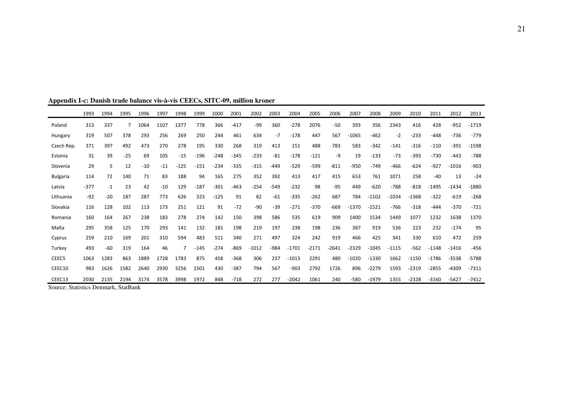|                         | 1993               | 1994  | 1995                                   | 1996  | 1997  | 1998   | 1999   | 2000   | 2001   | 2002    | 2003   | 2004    | 2005    | 2006    | 2007    | 2008    | 2009    | 2010    | 2011    | 2012    | 2013    |
|-------------------------|--------------------|-------|----------------------------------------|-------|-------|--------|--------|--------|--------|---------|--------|---------|---------|---------|---------|---------|---------|---------|---------|---------|---------|
| Poland                  | 313                | 337   |                                        | 1064  | 1107  | 1377   | 778    | 366    | $-417$ | -99     | 360    | $-278$  | 2076    | $-50$   | 393     | 356     | 2343    | 416     | 428     | $-952$  | $-1719$ |
| Hungary                 | 319                | 507   | 378                                    | 293   | 256   | 269    | 250    | 244    | 461    | 634     | $-7$   | $-178$  | 447     | 567     | $-1065$ | $-462$  | $-2$    | $-233$  | $-448$  | $-736$  | $-779$  |
| Czech Rep.              | 371                | 397   | 492                                    | 473   | 270   | 278    | 195    | 330    | 268    | 319     | 413    | 151     | 488     | 783     | 583     | $-342$  | $-141$  | $-316$  | $-110$  | $-391$  | $-1598$ |
| Estonia                 | 31                 | 39    | $-25$                                  | 69    | 105   | $-15$  | $-196$ | $-248$ | $-345$ | $-233$  | $-81$  | $-178$  | $-121$  | -9      | 19      | $-133$  | $-73$   | $-393$  | $-730$  | $-443$  | $-788$  |
| Slovenia                | 29                 | 5     | 12                                     | $-10$ | $-11$ | $-125$ | $-151$ | $-234$ | $-335$ | $-315$  | $-449$ | $-529$  | $-599$  | $-811$  | $-950$  | $-749$  | $-466$  | $-624$  | $-927$  | $-1016$ | $-903$  |
| <b>Bulgaria</b>         | 114                | 72    | 140                                    | 71    | 83    | 188    | 94     | 165    | 275    | 352     | 392    | 413     | 417     | 415     | 653     | 761     | 1071    | 258     | $-40$   | 13      | $-24$   |
| Latvia                  | $-377$             | $-1$  | 23                                     | 42    | $-10$ | 129    | $-187$ | $-301$ | $-463$ | $-254$  | $-549$ | $-232$  | 98      | $-95$   | 449     | $-620$  | $-788$  | $-818$  | $-1495$ | $-1434$ | $-1880$ |
| Lithuania               | $-92$              | $-20$ | 187                                    | 287   | 773   | 626    | 323    | $-125$ | 91     | 82      | $-61$  | $-335$  | $-262$  | 687     | 784     | $-1102$ | $-1034$ | $-1368$ | $-322$  | $-619$  | $-268$  |
| Slovakia                | 116                | 128   | 102                                    | 113   | 173   | 251    | 121    | 91     | $-72$  | $-90$   | $-39$  | $-271$  | $-370$  | $-669$  | $-1370$ | $-1521$ | $-766$  | $-318$  | $-444$  | $-370$  | $-721$  |
| Romania                 | 160                | 164   | 267                                    | 238   | 183   | 278    | 274    | 142    | 150    | 398     | 586    | 535     | 619     | 909     | 1400    | 1534    | 1449    | 1077    | 1232    | 1638    | 1370    |
| Malta                   | 295                | 358   | 125                                    | 170   | 293   | 141    | 132    | 181    | 198    | 219     | 197    | 238     | 198     | 236     | 387     | 919     | 536     | 223     | 232     | $-174$  | 95      |
| Cyprus                  | 259                | 210   | 169                                    | 201   | 310   | 594    | 483    | 511    | 340    | 271     | 497    | 324     | 242     | 919     | 466     | 425     | 341     | 330     | 610     | 472     | 259     |
| Turkey                  | 493                | $-60$ | 319                                    | 164   | 46    |        | $-145$ | $-274$ | $-869$ | $-1012$ | $-984$ | $-1701$ | $-2171$ | $-2641$ | $-2329$ | $-1045$ | $-1115$ | $-562$  | $-1148$ | $-1416$ | $-456$  |
| CEEC <sub>5</sub>       | 1063               | 1283  | 863                                    | 1889  | 1728  | 1783   | 875    | 458    | $-368$ | 306     | 237    | $-1013$ | 2291    | 480     | $-1020$ | $-1330$ | 1662    | $-1150$ | $-1786$ | $-3538$ | $-5788$ |
| CEEC10                  | 983                | 1626  | 1582                                   | 2640  | 2930  | 3256   | 1501   | 430    | $-387$ | 794     | 567    | $-903$  | 2792    | 1726    | 896     | $-2279$ | 1593    | $-2319$ | $-2855$ | $-4309$ | $-7311$ |
| CEEC13<br>$\sim$ $\sim$ | 2030<br>$\sqrt{ }$ | 2135  | 2194<br>$1 \quad \alpha$ , $n \quad 1$ | 3174  | 3578  | 3998   | 1972   | 848    | $-718$ | 272     | 277    | $-2042$ | 1061    | 240     | $-580$  | $-1979$ | 1355    | $-2328$ | $-3160$ | $-5427$ | $-7412$ |

**Appendix I-c: Danish trade balance vis-à-vis CEECs, SITC-09, million kroner** 

Source: Statistics Denmark, StatBank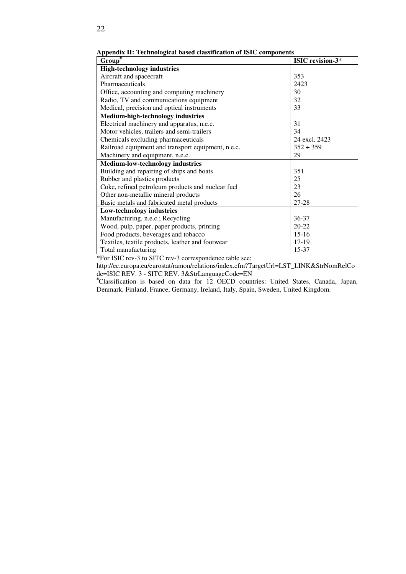| $Group^{\#}$                                       | <b>ISIC</b> revision-3* |
|----------------------------------------------------|-------------------------|
| <b>High-technology industries</b>                  |                         |
| Aircraft and spacecraft                            | 353                     |
| Pharmaceuticals                                    | 2423                    |
| Office, accounting and computing machinery         | 30                      |
| Radio, TV and communications equipment             | 32                      |
| Medical, precision and optical instruments         | 33                      |
| <b>Medium-high-technology industries</b>           |                         |
| Electrical machinery and apparatus, n.e.c.         | 31                      |
| Motor vehicles, trailers and semi-trailers         | 34                      |
| Chemicals excluding pharmaceuticals                | 24 excl. 2423           |
| Railroad equipment and transport equipment, n.e.c. | $352 + 359$             |
| Machinery and equipment, n.e.c.                    | 29                      |
| <b>Medium-low-technology industries</b>            |                         |
| Building and repairing of ships and boats          | 351                     |
| Rubber and plastics products                       | 25                      |
| Coke, refined petroleum products and nuclear fuel  | 23                      |
| Other non-metallic mineral products                | 26                      |
| Basic metals and fabricated metal products         | 27-28                   |
| <b>Low-technology industries</b>                   |                         |
| Manufacturing, n.e.c.; Recycling                   | 36-37                   |
| Wood, pulp, paper, paper products, printing        | $20 - 22$               |
| Food products, beverages and tobacco               | $15-16$                 |
| Textiles, textile products, leather and footwear   | 17-19                   |
| Total manufacturing                                | 15-37                   |

**Appendix II: Technological based classification of ISIC components** 

\*For ISIC rev-3 to SITC rev-3 correspondence table see:

http://ec.europa.eu/eurostat/ramon/relations/index.cfm?TargetUrl=LST\_LINK&StrNomRelCo de=ISIC REV. 3 - SITC REV. 3&StrLanguageCode=EN

#Classification is based on data for 12 OECD countries: United States, Canada, Japan, Denmark, Finland, France, Germany, Ireland, Italy, Spain, Sweden, United Kingdom.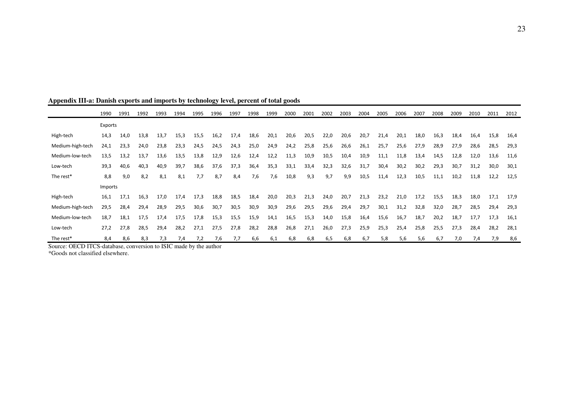|                  | 1990    | 1991 | 1992 | 1993 | 1994 | 1995 | 1996 | 1997 | 1998 | 1999 | 2000 | 2001 | 2002 | 2003 | 2004 | 2005 | 2006 | 2007 | 2008 | 2009 | 2010 | 2011 | 2012 |
|------------------|---------|------|------|------|------|------|------|------|------|------|------|------|------|------|------|------|------|------|------|------|------|------|------|
|                  | Exports |      |      |      |      |      |      |      |      |      |      |      |      |      |      |      |      |      |      |      |      |      |      |
| High-tech        | 14,3    | 14,0 | 13,8 | 13,7 | 15,3 | 15,5 | 16,2 | 17,4 | 18,6 | 20,1 | 20,6 | 20,5 | 22,0 | 20,6 | 20,7 | 21,4 | 20,1 | 18,0 | 16,3 | 18,4 | 16,4 | 15,8 | 16,4 |
| Medium-high-tech | 24,1    | 23,3 | 24,0 | 23,8 | 23,3 | 24,5 | 24,5 | 24,3 | 25,0 | 24,9 | 24,2 | 25,8 | 25,6 | 26,6 | 26,1 | 25,7 | 25,6 | 27,9 | 28,9 | 27,9 | 28,6 | 28,5 | 29,3 |
| Medium-low-tech  | 13,5    | 13,2 | 13.7 | 13,6 | 13,5 | 13,8 | 12,9 | 12,6 | 12,4 | 12,2 | 11,3 | 10,9 | 10,5 | 10,4 | 10,9 | 11,1 | 11,8 | 13,4 | 14,5 | 12,8 | 12,0 | 13,6 | 11,6 |
| Low-tech         | 39,3    | 40,6 | 40,3 | 40,9 | 39,7 | 38,6 | 37,6 | 37,3 | 36,4 | 35,3 | 33,1 | 33,4 | 32,3 | 32,6 | 31,7 | 30,4 | 30,2 | 30,2 | 29,3 | 30,7 | 31,2 | 30,0 | 30,1 |
| The rest*        | 8,8     | 9,0  | 8,2  | 8,1  | 8,1  | 7,7  | 8,7  | 8,4  | 7,6  | 7,6  | 10,8 | 9,3  | 9,7  | 9,9  | 10,5 | 11,4 | 12,3 | 10,5 | 11,1 | 10,2 | 11,8 | 12,2 | 12,5 |
|                  | Imports |      |      |      |      |      |      |      |      |      |      |      |      |      |      |      |      |      |      |      |      |      |      |
| High-tech        | 16.1    | 17,1 | 16,3 | 17,0 | 17,4 | 17,3 | 18,8 | 18,5 | 18,4 | 20,0 | 20,3 | 21,3 | 24,0 | 20,7 | 21,3 | 23,2 | 21,0 | 17,2 | 15,5 | 18,3 | 18,0 | 17,1 | 17,9 |
| Medium-high-tech | 29,5    | 28,4 | 29,4 | 28,9 | 29,5 | 30,6 | 30,7 | 30,5 | 30,9 | 30,9 | 29,6 | 29,5 | 29,6 | 29,4 | 29,7 | 30,1 | 31,2 | 32,8 | 32,0 | 28,7 | 28,5 | 29,4 | 29,3 |
| Medium-low-tech  | 18,7    | 18,1 | 17,5 | 17,4 | 17,5 | 17,8 | 15,3 | 15,5 | 15,9 | 14,1 | 16,5 | 15,3 | 14,0 | 15,8 | 16,4 | 15,6 | 16,7 | 18,7 | 20,2 | 18,7 | 17,7 | 17,3 | 16,1 |
| Low-tech         | 27,2    | 27,8 | 28,5 | 29,4 | 28,2 | 27,1 | 27,5 | 27,8 | 28,2 | 28,8 | 26,8 | 27,1 | 26,0 | 27,3 | 25,9 | 25,3 | 25,4 | 25,8 | 25,5 | 27,3 | 28,4 | 28,2 | 28,1 |
| The rest*        | 8,4     | 8,6  | 8,3  | 7,3  | 7,4  | 7,2  | 7,6  | 7,7  | 6,6  | 6,1  | 6,8  | 6,8  | 6,5  | 6,8  | 6,7  | 5,8  | 5,6  | 5,6  | 6,7  | 7,0  | 7,4  | 7,9  | 8,6  |

| Appendix III-a: Danish exports and imports by technology level, percent of total goods |  |  |  |
|----------------------------------------------------------------------------------------|--|--|--|
|                                                                                        |  |  |  |

Source: OECD ITCS-database, conversion to ISIC made by the author \*Goods not classified elsewhere.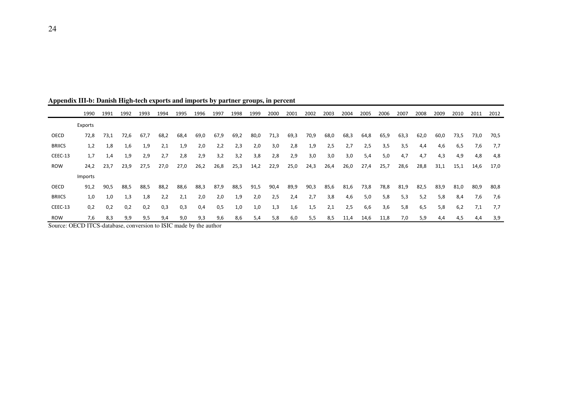|               | 1990           | 1991 | 1992 | 1993 | 1994        | 1995 | 1996 | 1997 | 1998 | 1999 | 2000 | 2001 | 2002 | 2003 | 2004 | 2005 | 2006 | 2007 | 2008 | 2009 | 2010 | 2011 | 2012 |
|---------------|----------------|------|------|------|-------------|------|------|------|------|------|------|------|------|------|------|------|------|------|------|------|------|------|------|
|               | Exports        |      |      |      |             |      |      |      |      |      |      |      |      |      |      |      |      |      |      |      |      |      |      |
| OECD          | 72,8           | 73,1 | 72,6 | 67,7 | 68,2        | 68,4 | 69,0 | 67,9 | 69,2 | 80,0 | 71,3 | 69,3 | 70,9 | 68,0 | 68,3 | 64,8 | 65,9 | 63,3 | 62,0 | 60,0 | 73,5 | 73,0 | 70,5 |
| <b>BRIICS</b> | 1,2            | 1,8  | 1,6  | 1,9  | 2,1         | 1,9  | 2,0  | 2,2  | 2,3  | 2,0  | 3,0  | 2,8  | 1,9  | 2,5  | 2,7  | 2,5  | 3,5  | 3,5  | 4,4  | 4,6  | 6,5  | 7,6  | 7,7  |
| CEEC-13       | 1,7            | 1,4  | 1,9  | 2,9  | 2,7         | 2,8  | 2,9  | 3,2  | 3,2  | 3,8  | 2,8  | 2,9  | 3,0  | 3,0  | 3,0  | 5,4  | 5,0  | 4,7  | 4,7  | 4,3  | 4,9  | 4,8  | 4,8  |
| <b>ROW</b>    | 24,2           | 23,7 | 23,9 | 27,5 | 27,0        | 27,0 | 26,2 | 26,8 | 25,3 | 14,2 | 22,9 | 25,0 | 24,3 | 26,4 | 26,0 | 27,4 | 25,7 | 28,6 | 28,8 | 31,1 | 15,1 | 14,6 | 17,0 |
|               | <b>Imports</b> |      |      |      |             |      |      |      |      |      |      |      |      |      |      |      |      |      |      |      |      |      |      |
| OECD          | 91,2           | 90,5 | 88,5 | 88,5 | 88,2        | 88,6 | 88,3 | 87,9 | 88,5 | 91,5 | 90,4 | 89,9 | 90,3 | 85,6 | 81,6 | 73,8 | 78,8 | 81,9 | 82,5 | 83,9 | 81,0 | 80,9 | 80,8 |
| <b>BRIICS</b> | 1,0            | 1,0  | 1,3  | 1,8  | 2,2         | 2,1  | 2,0  | 2,0  | 1,9  | 2,0  | 2,5  | 2,4  | 2,7  | 3,8  | 4,6  | 5,0  | 5,8  | 5,3  | 5,2  | 5,8  | 8,4  | 7,6  | 7,6  |
| CEEC-13       | 0,2            | 0,2  | 0,2  | 0,2  | 0,3         | 0,3  | 0,4  | 0,5  | 1,0  | 1,0  | 1,3  | 1,6  | 1,5  | 2,1  | 2,5  | 6,6  | 3,6  | 5,8  | 6,5  | 5,8  | 6,2  | 7,1  | 7,7  |
| <b>ROW</b>    | 7,6<br>27.27   | 8,3  | 9,9  | 9,5  | 9,4<br>$-1$ | 9,0  | 9,3  | 9,6  | 8,6  | 5,4  | 5,8  | 6,0  | 5,5  | 8,5  | 11,4 | 14,6 | 11,8 | 7,0  | 5,9  | 4,4  | 4,5  | 4,4  | 3,9  |

**Appendix III-b: Danish High-tech exports and imports by partner groups, in percent**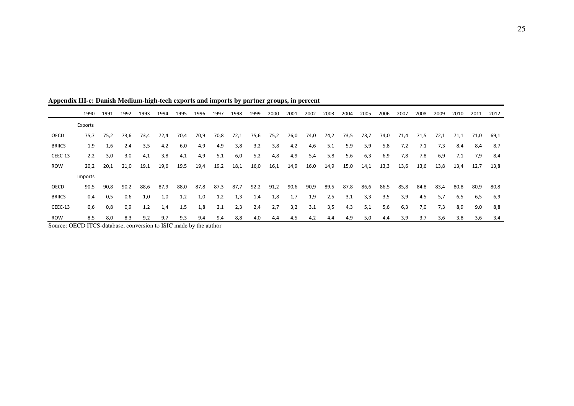|               | 1990           | 1991 | 1992 | 1993 | 1994 | 1995 | 1996 | 1997 | 1998 | 1999 | 2000 | 2001 | 2002 | 2003 | 2004 | 2005 | 2006 | 2007 | 2008 | 2009 | 2010 | 2011 | 2012 |
|---------------|----------------|------|------|------|------|------|------|------|------|------|------|------|------|------|------|------|------|------|------|------|------|------|------|
|               | Exports        |      |      |      |      |      |      |      |      |      |      |      |      |      |      |      |      |      |      |      |      |      |      |
| OECD          | 75,7           | 75,2 | 73,6 | 73,4 | 72,4 | 70,4 | 70,9 | 70,8 | 72,1 | 75,6 | 75,2 | 76,0 | 74,0 | 74,2 | 73,5 | 73,7 | 74,0 | 71,4 | 71,5 | 72,1 | 71,1 | 71,0 | 69,1 |
| <b>BRIICS</b> | 1,9            | 1,6  | 2,4  | 3,5  | 4,2  | 6,0  | 4,9  | 4,9  | 3,8  | 3,2  | 3,8  | 4,2  | 4,6  | 5,1  | 5,9  | 5,9  | 5,8  | 7,2  | 7,1  | 7,3  | 8,4  | 8,4  | 8,7  |
| CEEC-13       | 2,2            | 3,0  | 3,0  | 4,1  | 3,8  | 4,1  | 4,9  | 5,1  | 6,0  | 5,2  | 4,8  | 4,9  | 5,4  | 5,8  | 5,6  | 6,3  | 6,9  | 7,8  | 7,8  | 6,9  | 7,1  | 7,9  | 8,4  |
| <b>ROW</b>    | 20,2           | 20,1 | 21,0 | 19,1 | 19,6 | 19,5 | 19,4 | 19,2 | 18,1 | 16,0 | 16,1 | 14,9 | 16,0 | 14,9 | 15,0 | 14,1 | 13,3 | 13,6 | 13,6 | 13,8 | 13,4 | 12,7 | 13,8 |
|               | <b>Imports</b> |      |      |      |      |      |      |      |      |      |      |      |      |      |      |      |      |      |      |      |      |      |      |
| OECD          | 90,5           | 90,8 | 90,2 | 88,6 | 87,9 | 88,0 | 87,8 | 87,3 | 87,7 | 92,2 | 91,2 | 90,6 | 90,9 | 89,5 | 87,8 | 86,6 | 86,5 | 85,8 | 84,8 | 83,4 | 80,8 | 80,9 | 80,8 |
| <b>BRIICS</b> | 0,4            | 0,5  | 0,6  | 1,0  | 1,0  | 1,2  | 1,0  | 1,2  | 1,3  | 1,4  | 1,8  | 1,7  | 1,9  | 2,5  | 3,1  | 3,3  | 3,5  | 3,9  | 4,5  | 5,7  | 6,5  | 6,5  | 6,9  |
| CEEC-13       | 0,6            | 0,8  | 0,9  | 1,2  | 1,4  | 1,5  | 1,8  | 2,1  | 2,3  | 2,4  | 2,7  | 3,2  | 3,1  | 3,5  | 4,3  | 5,1  | 5,6  | 6,3  | 7,0  | 7,3  | 8,9  | 9,0  | 8,8  |
| <b>ROW</b>    | 8,5            | 8,0  | 8,3  | 9,2  | 9,7  | 9,3  | 9,4  | 9,4  | 8,8  | 4,0  | 4,4  | 4,5  | 4,2  | 4,4  | 4,9  | 5,0  | 4,4  | 3,9  | 3,7  | 3,6  | 3,8  | 3,6  | 3,4  |

**Appendix III-c: Danish Medium-high-tech exports and imports by partner groups, in percent**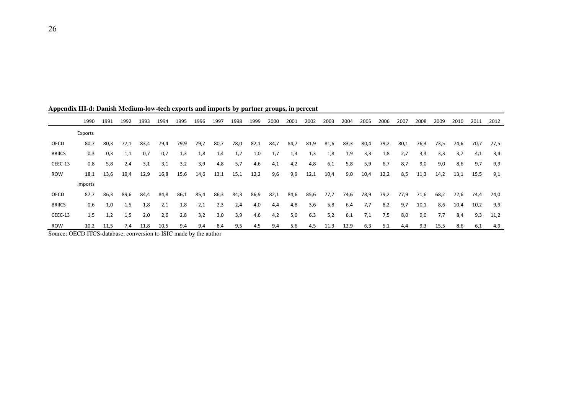|               | 1990                    | 1991 | 1992 | 1993 | 1994         | 1995 | 1996 | 1997 | 1998 | 1999 | 2000 | 2001 | 2002 | 2003 | 2004 | 2005 | 2006 | 2007 | 2008 | 2009 | 2010 | 2011 | 2012 |
|---------------|-------------------------|------|------|------|--------------|------|------|------|------|------|------|------|------|------|------|------|------|------|------|------|------|------|------|
|               | Exports                 |      |      |      |              |      |      |      |      |      |      |      |      |      |      |      |      |      |      |      |      |      |      |
| OECD          | 80,7                    | 80,3 | 77,1 | 83,4 | 79,4         | 79,9 | 79,7 | 80,7 | 78,0 | 82,1 | 84,7 | 84,7 | 81,9 | 81,6 | 83,3 | 80,4 | 79,2 | 80,1 | 76,3 | 73,5 | 74,6 | 70,7 | 77,5 |
| <b>BRIICS</b> | 0,3                     | 0,3  | 1,1  | 0,7  | 0,7          | 1,3  | 1,8  | 1,4  | 1,2  | 1,0  | 1,7  | 1,3  | 1,3  | 1,8  | 1,9  | 3,3  | 1,8  | 2,7  | 3,4  | 3,3  | 3,7  | 4,1  | 3,4  |
| CEEC-13       | 0,8                     | 5,8  | 2,4  | 3,1  | 3,1          | 3,2  | 3,9  | 4,8  | 5,7  | 4,6  | 4,1  | 4,2  | 4,8  | 6,1  | 5,8  | 5,9  | 6,7  | 8,7  | 9,0  | 9,0  | 8,6  | 9,7  | 9,9  |
| <b>ROW</b>    | 18,1                    | 13,6 | 19,4 | 12,9 | 16,8         | 15,6 | 14,6 | 13,1 | 15,1 | 12,2 | 9,6  | 9,9  | 12,1 | 10,4 | 9,0  | 10,4 | 12,2 | 8,5  | 11,3 | 14,2 | 13,1 | 15,5 | 9,1  |
|               | Imports                 |      |      |      |              |      |      |      |      |      |      |      |      |      |      |      |      |      |      |      |      |      |      |
| OECD          | 87,7                    | 86,3 | 89,6 | 84,4 | 84,8         | 86,1 | 85,4 | 86,3 | 84,3 | 86,9 | 82,1 | 84,6 | 85,6 | 77,7 | 74,6 | 78,9 | 79,2 | 77,9 | 71,6 | 68,2 | 72,6 | 74,4 | 74,0 |
| <b>BRIICS</b> | 0,6                     | 1,0  | 1,5  | 1,8  | 2,1          | 1,8  | 2,1  | 2,3  | 2,4  | 4,0  | 4,4  | 4,8  | 3,6  | 5,8  | 6,4  | 7,7  | 8,2  | 9,7  | 10,1 | 8,6  | 10,4 | 10,2 | 9,9  |
| CEEC-13       | 1,5                     | 1,2  | 1,5  | 2,0  | 2,6          | 2,8  | 3,2  | 3,0  | 3,9  | 4,6  | 4,2  | 5,0  | 6,3  | 5,2  | 6,1  | 7,1  | 7,5  | 8,0  | 9,0  | 7,7  | 8,4  | 9,3  | 11,2 |
| <b>ROW</b>    | 10,2<br>$27.25$ $77.22$ | 11,5 | 7.4  | 11,8 | 10,5<br>$-0$ | 9,4  | 9,4  | 8,4  | 9,5  | 4,5  | 9,4  | 5,6  | 4,5  | 11,3 | 12,9 | 6,3  | 5,1  | 4,4  | 9,3  | 15,5 | 8,6  | 6,1  | 4,9  |

**Appendix III-d: Danish Medium-low-tech exports and imports by partner groups, in percent**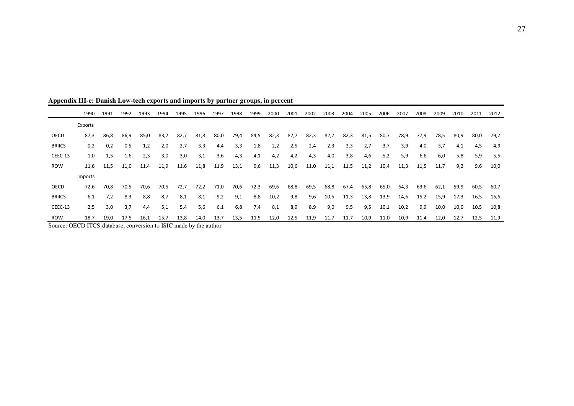|               | 1990    | 1991 | 1992 | 1993 | 1994 | 1995 | 1996 | 1997 | 1998 | 1999 | 2000 | 2001 | 2002 | 2003 | 2004 | 2005 | 2006 | 2007 | 2008 | 2009 | 2010 | 2011 | 2012 |
|---------------|---------|------|------|------|------|------|------|------|------|------|------|------|------|------|------|------|------|------|------|------|------|------|------|
|               | Exports |      |      |      |      |      |      |      |      |      |      |      |      |      |      |      |      |      |      |      |      |      |      |
| OECD          | 87,3    | 86,8 | 86,9 | 85,0 | 83,2 | 82,7 | 81,8 | 80,0 | 79,4 | 84,5 | 82,3 | 82,7 | 82,3 | 82,7 | 82,3 | 81,5 | 80,7 | 78,9 | 77,9 | 78,5 | 80,9 | 80,0 | 79,7 |
| <b>BRIICS</b> | 0,2     | 0,2  | 0,5  | 1,2  | 2,0  | 2,7  | 3,3  | 4,4  | 3,3  | 1,8  | 2,2  | 2,5  | 2,4  | 2,3  | 2,3  | 2,7  | 3,7  | 3,9  | 4,0  | 3,7  | 4,1  | 4,5  | 4,9  |
| CEEC-13       | 1,0     | 1,5  | 1,6  | 2,3  | 3,0  | 3,0  | 3,1  | 3,6  | 4,3  | 4,1  | 4,2  | 4,2  | 4,3  | 4,0  | 3,8  | 4,6  | 5,2  | 5,9  | 6,6  | 6,0  | 5,8  | 5,9  | 5,5  |
| <b>ROW</b>    | 11,6    | 11,5 | 11,0 | 11,4 | 11,9 | 11,6 | 11,8 | 11,9 | 13,1 | 9,6  | 11,3 | 10,6 | 11,0 | 11,1 | 11,5 | 11,2 | 10,4 | 11,3 | 11,5 | 11,7 | 9,2  | 9,6  | 10,0 |
|               | Imports |      |      |      |      |      |      |      |      |      |      |      |      |      |      |      |      |      |      |      |      |      |      |
| OECD          | 72,6    | 70,8 | 70,5 | 70,6 | 70,5 | 72,7 | 72,2 | 71,0 | 70,6 | 72,3 | 69,6 | 68,8 | 69,5 | 68,8 | 67,4 | 65,8 | 65,0 | 64,3 | 63,6 | 62,1 | 59,9 | 60,5 | 60,7 |
| <b>BRIICS</b> | 6,1     | 7,2  | 8,3  | 8,8  | 8,7  | 8,1  | 8,1  | 9,2  | 9,1  | 8,8  | 10,2 | 9,8  | 9,6  | 10,5 | 11,3 | 13,8 | 13,9 | 14,6 | 15,2 | 15,9 | 17,3 | 16,5 | 16,6 |
| CEEC-13       | 2,5     | 3,0  | 3,7  | 4,4  | 5,1  | 5,4  | 5,6  | 6,1  | 6,8  | 7,4  | 8,1  | 8,9  | 8,9  | 9,0  | 9,5  | 9,5  | 10,1 | 10,2 | 9,9  | 10,0 | 10,0 | 10,5 | 10,8 |
| <b>ROW</b>    | 18,7    | 19,0 | 17,5 | 16,1 | 15,7 | 13,8 | 14,0 | 13,7 | 13,5 | 11,5 | 12,0 | 12,5 | 11,9 | 11,7 | 11,7 | 10,9 | 11,0 | 10,9 | 11,4 | 12,0 | 12,7 | 12,5 | 11,9 |

**Appendix III-e: Danish Low-tech exports and imports by partner groups, in percent**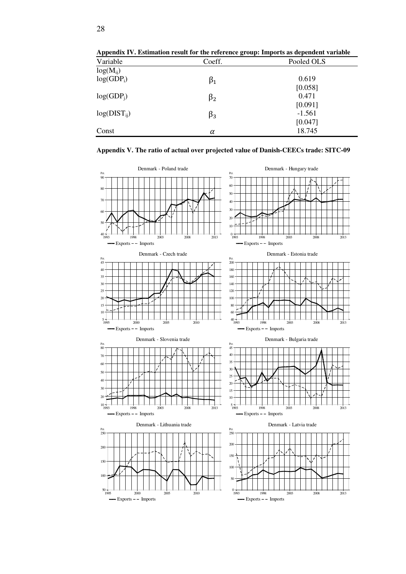| Appendix IV. Estimation result for the reference group. Imports as aependent variable |           |            |  |  |  |  |  |  |  |
|---------------------------------------------------------------------------------------|-----------|------------|--|--|--|--|--|--|--|
| Variable                                                                              | Coeff.    | Pooled OLS |  |  |  |  |  |  |  |
| $log(M_{ii})$                                                                         |           |            |  |  |  |  |  |  |  |
| $log(GDP_i)$                                                                          | $\beta_1$ | 0.619      |  |  |  |  |  |  |  |
|                                                                                       |           | [0.058]    |  |  |  |  |  |  |  |
| $log(GDP_i)$                                                                          | $\beta_2$ | 0.471      |  |  |  |  |  |  |  |
|                                                                                       |           | [0.091]    |  |  |  |  |  |  |  |
| $log(DIST_{ii})$                                                                      | $\beta_3$ | $-1.561$   |  |  |  |  |  |  |  |
|                                                                                       |           | [0.047]    |  |  |  |  |  |  |  |
| Const                                                                                 | α         | 18.745     |  |  |  |  |  |  |  |

**Appendix IV. Estimation result for the reference group: Imports as dependent variable** 

#### **Appendix V. The ratio of actual over projected value of Danish-CEECs trade: SITC-09**